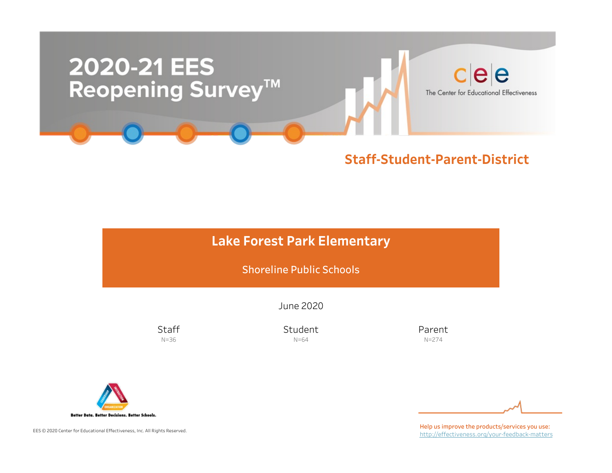

## Staff-Student-Parent-District

# Lake Forest Park Elementary

Shoreline Public Schools

June2020

**Staff** N=36

Student N=64

Parent N=274



EES © 2020 Center for Educational Effectiveness, Inc. All Rights Reserved.

Help us improve the products/services you use: http://effectiveness.org/your-feedback-matters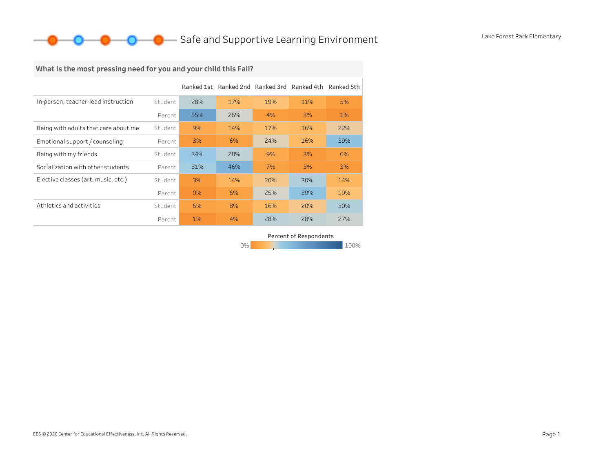# What is the most pressing need for you and your child this Fall?

|                                      |         | Ranked 1st | Ranked 2nd Ranked 3rd |     | Ranked 4th | Ranked 5th |
|--------------------------------------|---------|------------|-----------------------|-----|------------|------------|
| In-person, teacher-lead instruction  | Student | 28%        | 17%                   | 19% | 11%        | 5%         |
|                                      | Parent  | 55%        | 26%                   | 4%  | 3%         | $1\%$      |
| Being with adults that care about me | Student | 9%         | 14%                   | 17% | 16%        | 22%        |
| Emotional support / counseling       | Parent  | 3%         | 6%                    | 24% | 16%        | 39%        |
| Being with my friends                | Student | 34%        | 28%                   | 9%  | 3%         | 6%         |
| Socialization with other students    | Parent  | 31%        | 46%                   | 7%  | 3%         | 3%         |
| Elective classes (art, music, etc.)  | Student | 3%         | 14%                   | 20% | 30%        | 14%        |
|                                      | Parent  | 0%         | 6%                    | 25% | 39%        | 19%        |
| Athletics and activities             | Student | 6%         | 8%                    | 16% | 20%        | 30%        |
|                                      | Parent  | 1%         | 4%                    | 28% | 28%        | 27%        |

Percent of Respondents

0% 100% 100% 100% 100%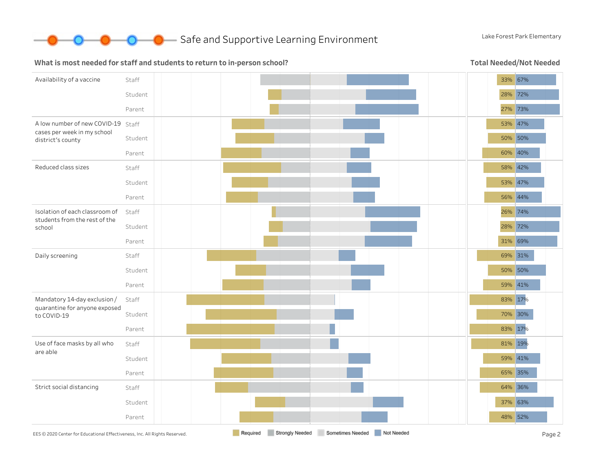

**O** Safe and Supportive Learning Environment Lake Forest Park Elementary

#### What is most needed for staff and students to return to in-person school?

Total Needed/Not Needed

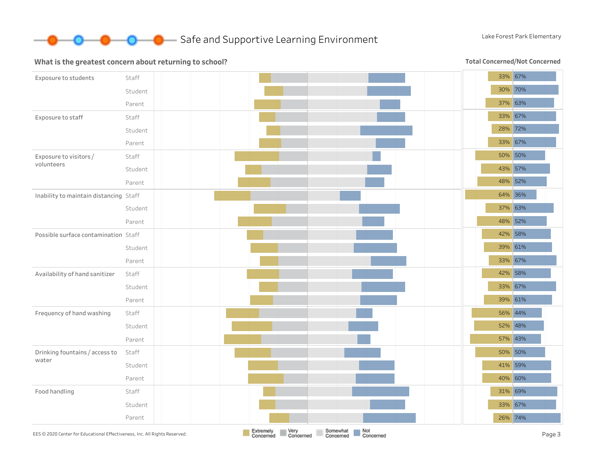

#### What is the greatest concern about returning to school?

Total Concerned/Not Concerned

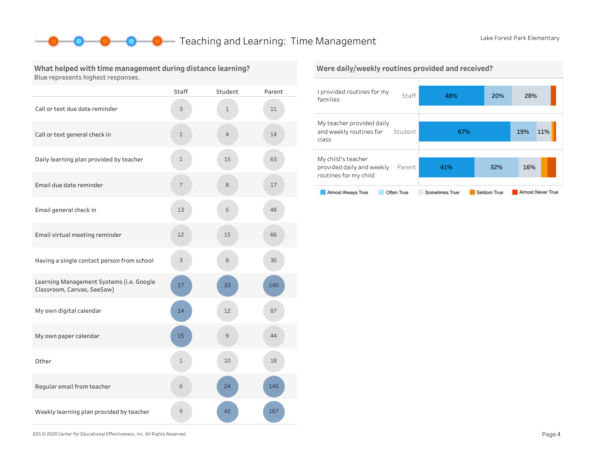## **O** Teaching and Learning: Time Management Lake Forest Park Elementary

#### What helped with time management during distance learning? Blue represents highest responses.

|                                                                        | <b>Staff</b> | Student        | Parent |
|------------------------------------------------------------------------|--------------|----------------|--------|
| Call or text due date reminder                                         | 3            | $\mathbf{1}$   | 11     |
| Call or text general check in                                          | $\mathbf 1$  | $\overline{4}$ | 14     |
| Daily learning plan provided by teacher                                | $\mathbf 1$  | 15             | 63     |
| Email due date reminder                                                | 7            | 8              | 17     |
| Email general check in                                                 | 13           | 5              | 48     |
| Email virtual meeting reminder                                         | 12           | 15             | 66     |
| Having a single contact person from school                             | 3            | 8              | 30     |
| Learning Management Systems (i.e. Google<br>Classroom, Canvas, SeeSaw) | 17           | 33             | 140    |
| My own digital calendar                                                | 14           | 12             | 87     |
| My own paper calendar                                                  | 15           | 9              | 44     |
| Other                                                                  | 1            | 10             | 18     |
| Regular email from teacher                                             | 6            | 24             | 145    |
| Weekly learning plan provided by teacher                               | 9            | 42             | 167    |

## I provided routines for my Staff 48% 20% 28% Were daily/weekly routines provided and received?



EES©2020CenterforEducationalEffectiveness,Inc.AllRightsReserved. Page4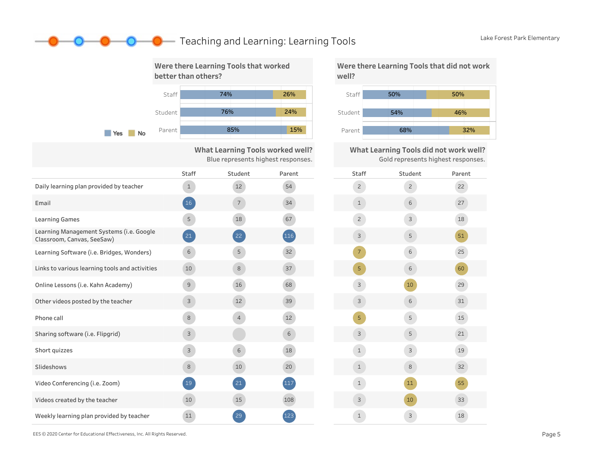## **O** Teaching and Learning: Learning Tools Lake Forest Park Elementary



What Learning Tools worked well? Blue represents highest responses.

|                                                                        | Staff         | Student         | Parent | <b>Staff</b>   |
|------------------------------------------------------------------------|---------------|-----------------|--------|----------------|
| Daily learning plan provided by teacher                                | $\mathbf{1}$  | 12              | 54     | $\overline{2}$ |
| Email                                                                  | <sup>16</sup> | $7\overline{ }$ | 34     | $\mathbf{1}$   |
| <b>Learning Games</b>                                                  | 5             | 18              | 67     | $\overline{c}$ |
| Learning Management Systems (i.e. Google<br>Classroom, Canvas, SeeSaw) | $21$          | 22              | (116)  | 3              |
| Learning Software (i.e. Bridges, Wonders)                              | 6             | 5               | 32     | $7^{\circ}$    |
| Links to various learning tools and activities                         | 10            | 8               | 37     | 5              |
| Online Lessons (i.e. Kahn Academy)                                     | $\mathcal{G}$ | 16              | 68     | 3              |
| Other videos posted by the teacher                                     | 3             | 12              | 39     | 3              |
| Phone call                                                             | 8             | $\overline{4}$  | 12     | 5              |
| Sharing software (i.e. Flipgrid)                                       | $\mathsf{3}$  |                 | 6      | 3              |
| Short quizzes                                                          | $\mathbf{3}$  | 6               | 18     | $\mathbf{1}$   |
| Slideshows                                                             | $\,8\,$       | 10              | 20     | $\mathbf 1$    |
| Video Conferencing (i.e. Zoom)                                         | $19\,$        | 21              | 117    | $\mathbf{1}$   |
| Videos created by the teacher                                          | 10            | 15              | 108    | 3              |
| Weekly learning plan provided by teacher                               | 11            | 29              | 123    | $\mathbf{1}$   |

Staff 50% Were there Learning Tools that did not work well?



What Learning Tools did not work well? Gold represents highest responses.

| Staff          | Student        | Parent |
|----------------|----------------|--------|
| $\overline{c}$ | $\overline{c}$ | 22     |
| $\mathbf 1$    | 6              | 27     |
| $\overline{c}$ | 3              | 18     |
| 3              | 5              | 51     |
| $\overline{7}$ | 6              | 25     |
| 5              | 6              | 60     |
| 3              | 10             | 29     |
| 3              | 6              | 31     |
| 5              | 5              | 15     |
| 3              | 5              | 21     |
| $\mathbf 1$    | 3              | 19     |
| $\mathbf 1$    | 8              | 32     |
| $\mathbf{1}$   | 11             | 55     |
| 3              | 10             | 33     |
| $\mathbf{1}$   | 3              | 18     |

EES©2020CenterforEducationalEffectiveness,Inc.AllRightsReserved. Page5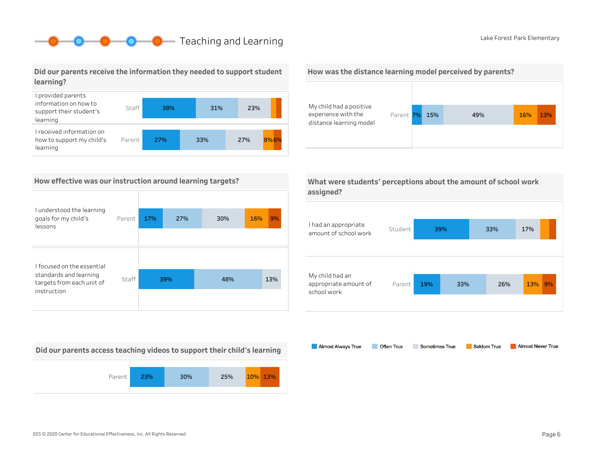# **O** Lake Forest Park Elementary

### Did our parents receive the information they needed to support student learning?



### How effective was our instruction around learning targets?

| I understood the learning<br>goals for my child's<br>lessons | Parent | 17% | 27% | 30% | 9%<br>16% |
|--------------------------------------------------------------|--------|-----|-----|-----|-----------|
|                                                              |        |     |     |     |           |
| I focused on the essential                                   |        |     |     |     |           |
| standards and learning<br>targets from each unit of          | Staff  | 39% |     | 48% | 13%       |
| instruction                                                  |        |     |     |     |           |

Did our parents access teaching videos to support their child's learning



### How was the distance learning model perceived by parents?



What were students' perceptions about the amount of school work

| assigned?                                               |         |     |     |     |     |    |
|---------------------------------------------------------|---------|-----|-----|-----|-----|----|
|                                                         |         |     |     |     |     |    |
| I had an appropriate<br>amount of school work           | Student |     | 39% | 33% | 17% |    |
|                                                         |         |     |     |     |     |    |
|                                                         |         |     |     |     |     |    |
| My child had an<br>appropriate amount of<br>school work | Parent  | 19% | 33% | 26% | 13% | 9% |
|                                                         |         |     |     |     |     |    |

Almost Always True Sometimes True Almost Never True Often True Seldom True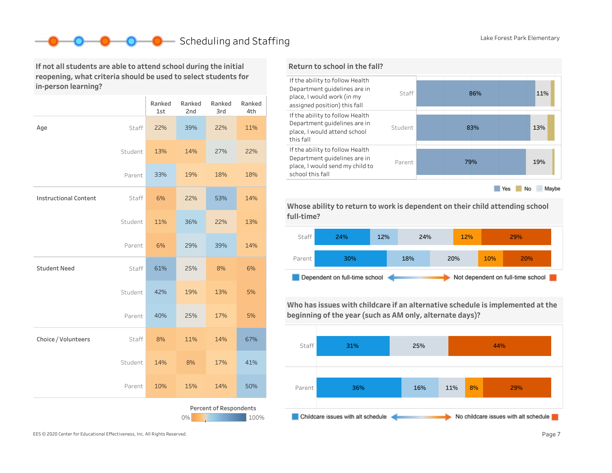# **Scheduling and Staffing Lake Forest Park Elementary**

If not all students are able to attend school during the initial reopening, what criteria should be used to select students for in-person learning?

|                                      |         | Ranked<br>1st | Ranked<br>2nd | Ranked<br>3rd | Ranked<br>4th |
|--------------------------------------|---------|---------------|---------------|---------------|---------------|
| Age                                  | Staff   | 22%           | 39%           | 22%           | 11%           |
|                                      | Student | 13%           | 14%           | 27%           | 22%           |
|                                      | Parent  | 33%           | 19%           | 18%           | 18%           |
| <b>Instructional Content</b>         | Staff   | 6%            | 22%           | 53%           | 14%           |
|                                      | Student | 11%           | 36%           | 22%           | 13%           |
|                                      | Parent  | 6%            | 29%           | 39%           | 14%           |
| <b>Student Need</b>                  | Staff   | 61%           | 25%           | 8%            | 6%            |
|                                      | Student | 42%           | 19%           | 13%           | 5%            |
|                                      | Parent  | 40%           | 25%           | 17%           | 5%            |
| Choice / Volunteers                  | Staff   | 8%            | 11%           | 14%           | 67%           |
|                                      | Student | 14%           | 8%            | 17%           | 41%           |
|                                      | Parent  | 10%           | 15%           | 14%           | 50%           |
| Percent of Respondents<br>0%<br>100% |         |               |               |               |               |

### Return to school in the fall?



Whose ability to return to work is dependent on their child attending school full-time?



Who has issues with childcare if an alternative schedule is implemented at the beginning of the year (such as AM only, alternate days)?

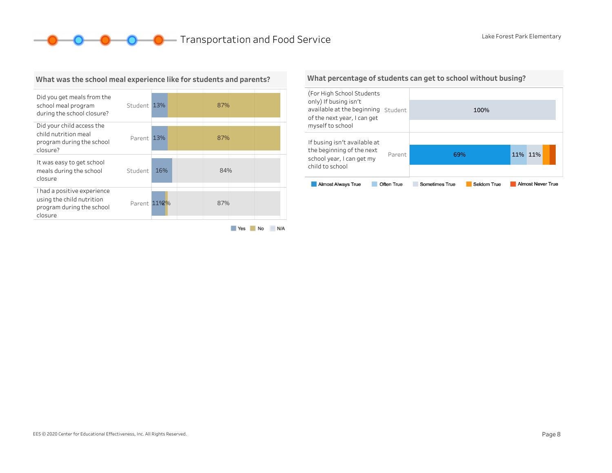**O** D Transportation and Food Service Lake Forest Park Elementary



#### What was the school meal experience like for students and parents?

#### What percentage of students can get to school without busing?

| (For High School Students<br>only) If busing isn't<br>available at the beginning Student<br>of the next year, I can get |            |                | 100%        |         |                          |  |
|-------------------------------------------------------------------------------------------------------------------------|------------|----------------|-------------|---------|--------------------------|--|
| myself to school                                                                                                        |            |                |             |         |                          |  |
| If busing isn't available at                                                                                            |            |                |             |         |                          |  |
| the beginning of the next<br>school year, I can get my                                                                  | Parent     | 69%            |             | 11% 11% |                          |  |
| child to school                                                                                                         |            |                |             |         |                          |  |
| <b>Almost Always True</b>                                                                                               | Often True | Sometimes True | Seldom True |         | <b>Almost Never True</b> |  |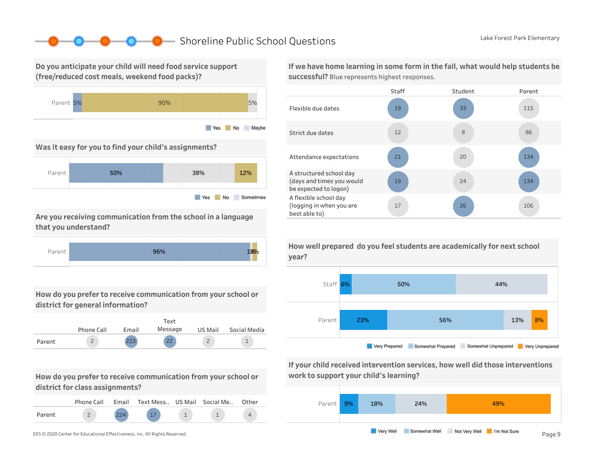## ■ Shoreline Public School Questions Lake Forest Park Elementary

Do you anticipate your child will need food service support (free/reduced cost meals, weekend food packs)?



Was it easy for you to find your child's assignments?



Are you receiving communication from the school in a language that you understand?



How do you prefer to receive communication from your school or district for general information?



How do you prefer to receive communication from your school or district for class assignments?

|        | Phone Call | Email | Text Mess US Mail Social Me |  | Other |
|--------|------------|-------|-----------------------------|--|-------|
| Parent |            |       |                             |  |       |

If we have home learning in some form in the fall, what would help students be successful? Blue represents highest responses.





If your child received intervention services, how well did those interventions work to support your child's learning?



How well prepared do you feel students are academically for next school year?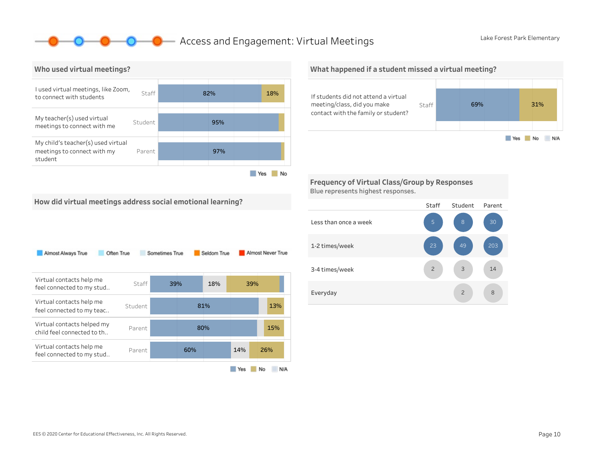## **O** Access and Engagement: Virtual Meetings Lake Forest Park Elementary



#### What happened if a student missed a virtual meeting?



Frequency of Virtual Class/Group by Responses Blue represents highest responses.



How did virtual meetings address social emotional learning?

| Almost Always True<br>Often True                         |         | Sometimes True |     | Seldom True |     | Almost Never True |
|----------------------------------------------------------|---------|----------------|-----|-------------|-----|-------------------|
| Virtual contacts help me<br>feel connected to my stud    | Staff   | 39%            |     | 18%         | 39% |                   |
| Virtual contacts help me<br>feel connected to my teac    | Student |                |     | 81%         |     | 13%               |
| Virtual contacts helped my<br>child feel connected to th | Parent  |                |     | 80%         |     | 15%               |
| Virtual contacts help me<br>feel connected to my stud    | Parent  |                | 60% |             | 14% | 26%               |
|                                                          |         |                |     |             | Yes | No<br>N/A         |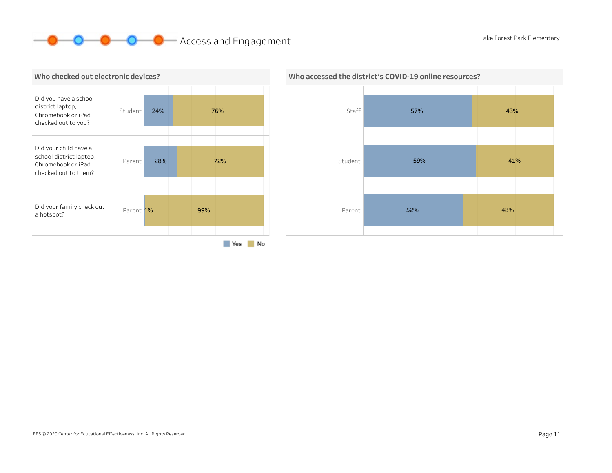# **O O** Access and Engagement Lake Forest Park Elementary





## Who accessed the district's COVID-19 online resources?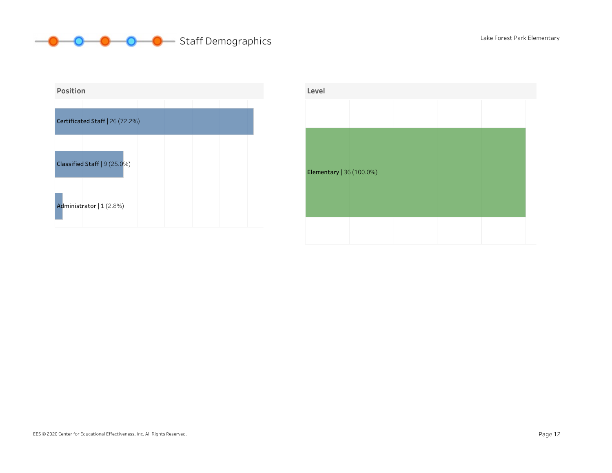



| Level                    |  |  |  |
|--------------------------|--|--|--|
|                          |  |  |  |
|                          |  |  |  |
|                          |  |  |  |
| Elementary   36 (100.0%) |  |  |  |
|                          |  |  |  |
|                          |  |  |  |
|                          |  |  |  |
|                          |  |  |  |

### EES © 2020 Center for Educational Effectiveness, Inc. All Rights Reserved. Page 12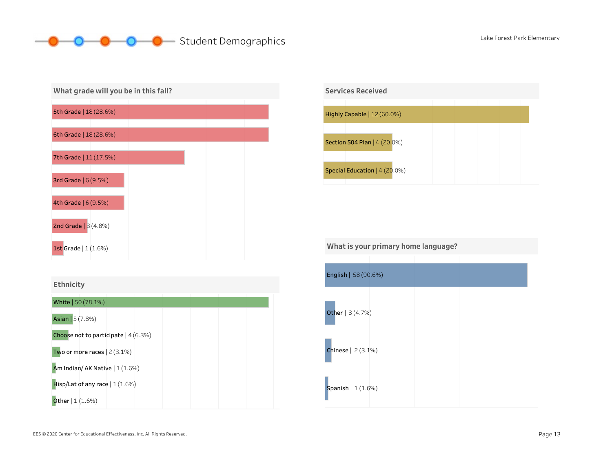# O Student Demographics Lake Forest Park Elementary







What is your primary home language?